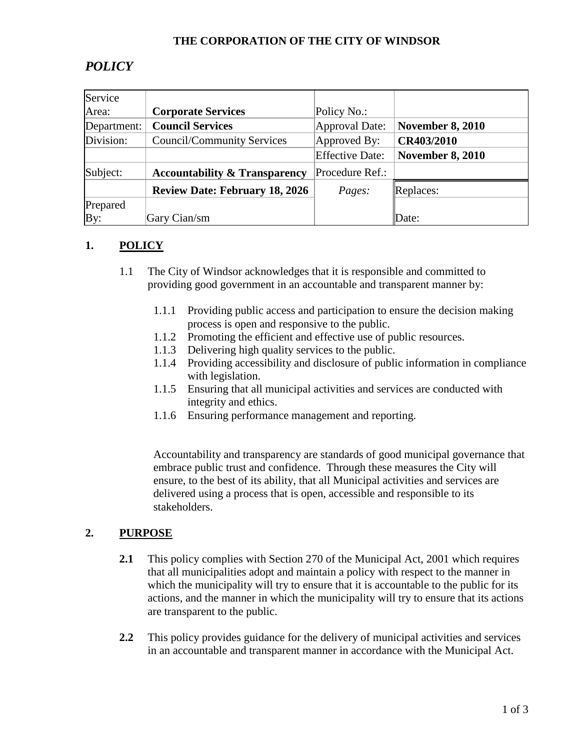#### **THE CORPORATION OF THE CITY OF WINDSOR**

# *POLICY*

| Service     |                                          |                        |                         |
|-------------|------------------------------------------|------------------------|-------------------------|
| Area:       | <b>Corporate Services</b>                | Policy No.:            |                         |
| Department: | <b>Council Services</b>                  | Approval Date:         | <b>November 8, 2010</b> |
| Division:   | <b>Council/Community Services</b>        | Approved By:           | CR403/2010              |
|             |                                          | <b>Effective Date:</b> | <b>November 8, 2010</b> |
| Subject:    | <b>Accountability &amp; Transparency</b> | Procedure Ref.:        |                         |
|             | <b>Review Date: February 18, 2026</b>    | Pages:                 | Replaces:               |
| Prepared    |                                          |                        |                         |
| By:         | Gary Cian/sm                             |                        | Date:                   |

#### **1. POLICY**

- 1.1 The City of Windsor acknowledges that it is responsible and committed to providing good government in an accountable and transparent manner by:
	- 1.1.1 Providing public access and participation to ensure the decision making process is open and responsive to the public.
	- 1.1.2 Promoting the efficient and effective use of public resources.
	- 1.1.3 Delivering high quality services to the public.
	- 1.1.4 Providing accessibility and disclosure of public information in compliance with legislation.
	- 1.1.5 Ensuring that all municipal activities and services are conducted with integrity and ethics.
	- 1.1.6 Ensuring performance management and reporting.

 Accountability and transparency are standards of good municipal governance that embrace public trust and confidence. Through these measures the City will ensure, to the best of its ability, that all Municipal activities and services are delivered using a process that is open, accessible and responsible to its stakeholders.

#### **2. PURPOSE**

- **2.1** This policy complies with Section 270 of the Municipal Act, 2001 which requires that all municipalities adopt and maintain a policy with respect to the manner in which the municipality will try to ensure that it is accountable to the public for its actions, and the manner in which the municipality will try to ensure that its actions are transparent to the public.
- **2.2** This policy provides guidance for the delivery of municipal activities and services in an accountable and transparent manner in accordance with the Municipal Act.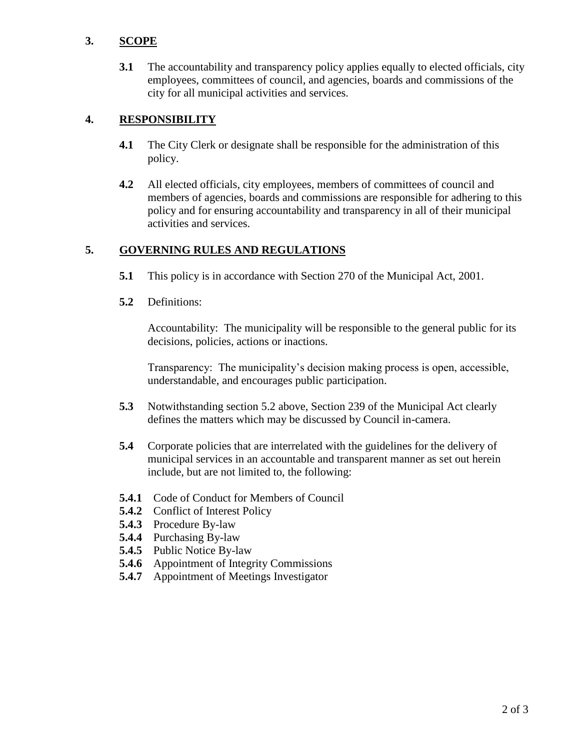#### **3. SCOPE**

**3.1** The accountability and transparency policy applies equally to elected officials, city employees, committees of council, and agencies, boards and commissions of the city for all municipal activities and services.

#### **4. RESPONSIBILITY**

- **4.1** The City Clerk or designate shall be responsible for the administration of this policy.
- **4.2** All elected officials, city employees, members of committees of council and members of agencies, boards and commissions are responsible for adhering to this policy and for ensuring accountability and transparency in all of their municipal activities and services.

### **5. GOVERNING RULES AND REGULATIONS**

- **5.1** This policy is in accordance with Section 270 of the Municipal Act, 2001.
- **5.2** Definitions:

Accountability: The municipality will be responsible to the general public for its decisions, policies, actions or inactions.

Transparency: The municipality's decision making process is open, accessible, understandable, and encourages public participation.

- **5.3** Notwithstanding section 5.2 above, Section 239 of the Municipal Act clearly defines the matters which may be discussed by Council in-camera.
- **5.4** Corporate policies that are interrelated with the guidelines for the delivery of municipal services in an accountable and transparent manner as set out herein include, but are not limited to, the following:
- **5.4.1** Code of Conduct for Members of Council
- **5.4.2** Conflict of Interest Policy
- **5.4.3** Procedure By-law
- **5.4.4** Purchasing By-law
- **5.4.5** Public Notice By-law
- **5.4.6** Appointment of Integrity Commissions
- **5.4.7** Appointment of Meetings Investigator